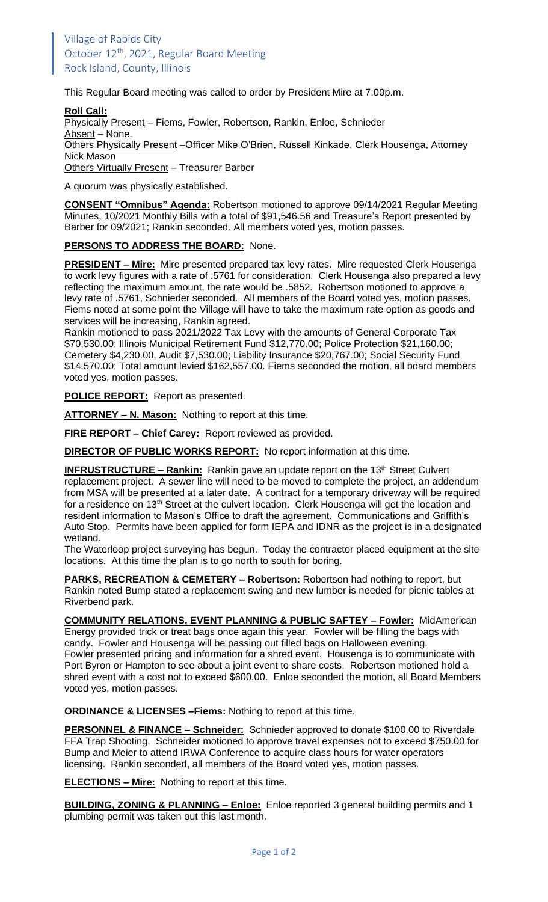This Regular Board meeting was called to order by President Mire at 7:00p.m.

## **Roll Call:**

Physically Present - Fiems, Fowler, Robertson, Rankin, Enloe, Schnieder Absent - None. Others Physically Present –Officer Mike O'Brien, Russell Kinkade, Clerk Housenga, Attorney Nick Mason Others Virtually Present – Treasurer Barber

A quorum was physically established.

**CONSENT "Omnibus" Agenda:** Robertson motioned to approve 09/14/2021 Regular Meeting Minutes, 10/2021 Monthly Bills with a total of \$91,546.56 and Treasure's Report presented by Barber for 09/2021; Rankin seconded. All members voted yes, motion passes.

## **PERSONS TO ADDRESS THE BOARD:** None.

**PRESIDENT – Mire:** Mire presented prepared tax levy rates. Mire requested Clerk Housenga to work levy figures with a rate of .5761 for consideration. Clerk Housenga also prepared a levy reflecting the maximum amount, the rate would be .5852. Robertson motioned to approve a levy rate of .5761, Schnieder seconded. All members of the Board voted yes, motion passes. Fiems noted at some point the Village will have to take the maximum rate option as goods and services will be increasing, Rankin agreed.

Rankin motioned to pass 2021/2022 Tax Levy with the amounts of General Corporate Tax \$70,530.00; Illinois Municipal Retirement Fund \$12,770.00; Police Protection \$21,160.00; Cemetery \$4,230.00, Audit \$7,530.00; Liability Insurance \$20,767.00; Social Security Fund \$14,570.00; Total amount levied \$162,557.00. Fiems seconded the motion, all board members voted yes, motion passes.

**POLICE REPORT:** Report as presented.

**ATTORNEY – N. Mason:** Nothing to report at this time.

**FIRE REPORT – Chief Carey:** Report reviewed as provided.

**DIRECTOR OF PUBLIC WORKS REPORT:** No report information at this time.

**INFRUSTRUCTURE – Rankin:** Rankin gave an update report on the 13<sup>th</sup> Street Culvert replacement project. A sewer line will need to be moved to complete the project, an addendum from MSA will be presented at a later date. A contract for a temporary driveway will be required for a residence on 13<sup>th</sup> Street at the culvert location. Clerk Housenga will get the location and resident information to Mason's Office to draft the agreement. Communications and Griffith's Auto Stop. Permits have been applied for form IEPA and IDNR as the project is in a designated wetland.

The Waterloop project surveying has begun. Today the contractor placed equipment at the site locations. At this time the plan is to go north to south for boring.

**PARKS, RECREATION & CEMETERY – Robertson:** Robertson had nothing to report, but Rankin noted Bump stated a replacement swing and new lumber is needed for picnic tables at Riverbend park.

**COMMUNITY RELATIONS, EVENT PLANNING & PUBLIC SAFTEY – Fowler:** MidAmerican Energy provided trick or treat bags once again this year. Fowler will be filling the bags with candy. Fowler and Housenga will be passing out filled bags on Halloween evening. Fowler presented pricing and information for a shred event. Housenga is to communicate with Port Byron or Hampton to see about a joint event to share costs. Robertson motioned hold a shred event with a cost not to exceed \$600.00. Enloe seconded the motion, all Board Members voted yes, motion passes.

**ORDINANCE & LICENSES –Fiems:** Nothing to report at this time.

**PERSONNEL & FINANCE – Schneider:** Schnieder approved to donate \$100.00 to Riverdale FFA Trap Shooting. Schneider motioned to approve travel expenses not to exceed \$750.00 for Bump and Meier to attend IRWA Conference to acquire class hours for water operators licensing. Rankin seconded, all members of the Board voted yes, motion passes.

**ELECTIONS – Mire:** Nothing to report at this time.

**BUILDING, ZONING & PLANNING – Enloe:** Enloe reported 3 general building permits and 1 plumbing permit was taken out this last month.